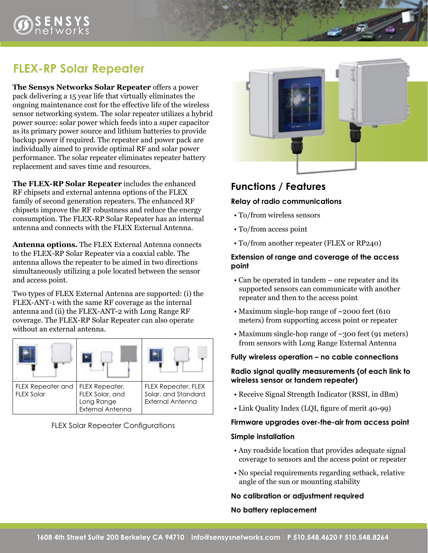# **FLEX-RP Solar Repeater**

**The Sensys Networks Solar Repeater** offers a power pack delivering a 15 year life that virtually eliminates the ongoing maintenance cost for the effective life of the wireless sensor networking system. The solar repeater utilizes a hybrid power source: solar power which feeds into a super capacitor as its primary power source and lithium batteries to provide backup power if required. The repeater and power pack are individually aimed to provide optimal RF and solar power performance. The solar repeater eliminates repeater battery replacement and saves time and resources.

**The FLEX-RP Solar Repeater** includes the enhanced RF chipsets and external antenna options of the FLEX family of second generation repeaters. The enhanced RF chipsets improve the RF robustness and reduce the energy consumption. The FLEX-RP Solar Repeater has an internal antenna and connects with the FLEX External Antenna.

**Antenna options.** The FLEX External Antenna connects to the FLEX-RP Solar Repeater via a coaxial cable. The antenna allows the repeater to be aimed in two directions simultaneously utilizing a pole located between the sensor and access point.

Two types of FLEX External Antenna are supported: (i) the FLEX-ANT-1 with the same RF coverage as the internal antenna and (ii) the FLEX-ANT-2 with Long Range RF coverage. The FLEX-RP Solar Repeater can also operate without an external antenna.



FLEX Solar Repeater Configurations



## **Functions / Features**

#### **Relay of radio communications**

- To/from wireless sensors
- To/from access point
- To/from another repeater (FLEX or RP240)

#### **Extension of range and coverage of the access point**

- Can be operated in tandem one repeater and its supported sensors can communicate with another repeater and then to the access point
- Maximum single-hop range of ~2000 feet (610 meters) from supporting access point or repeater
- Maximum single-hop range of ~300 feet (91 meters) from sensors with Long Range External Antenna

#### **Fully wireless operation – no cable connections**

#### **Radio signal quality measurements (of each link to wireless sensor or tandem repeater)**

- Receive Signal Strength Indicator (RSSI, in dBm)
- Link Quality Index (LQI, figure of merit 40-99)

#### **Firmware upgrades over-the-air from access point**

#### **Simple installation**

- Any roadside location that provides adequate signal coverage to sensors and the access point or repeater
- No special requirements regarding setback, relative angle of the sun or mounting stability

#### **No calibration or adjustment required**

#### **No battery replacement**